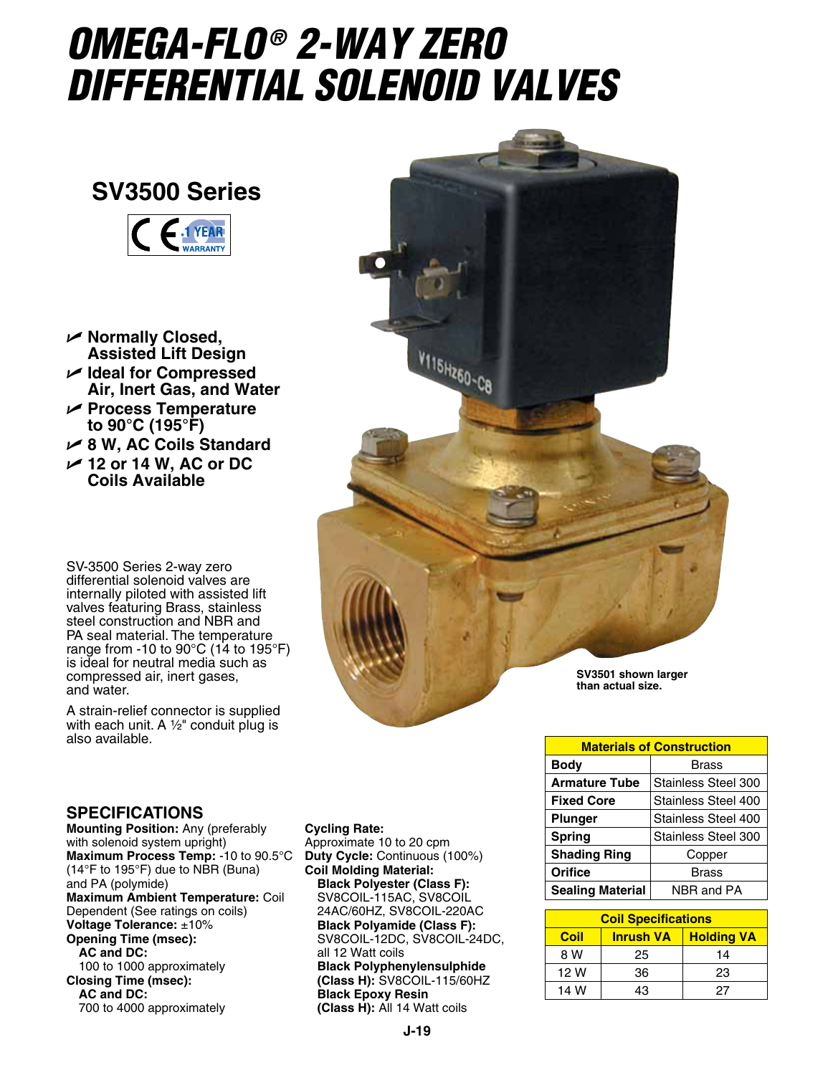## *OMEGA-FLO ® 2-WAY Zero Differential Solenoid Valves*

## **SV3500 Series**



- U **Normally Closed, Assisted Lift Design**
- U **Ideal for Compressed Air, Inert Gas, and Water**
- U **Process Temperature to 90°C (195°F)**
- U **8 W, AC Coils Standard**
- U **12 or 14 W, AC or DC Coils Available**

SV-3500 Series 2-way zero differential solenoid valves are internally piloted with assisted lift valves featuring Brass, stainless steel construction and NBR and PA seal material. The temperature range from -10 to 90 $\degree$ C (14 to 195 $\degree$ F) is ideal for neutral media such as compressed air, inert gases, and water.

A strain-relief connector is supplied with each unit. A  $\frac{1}{2}$ " conduit plug is also available.



| <b>Materials of Construction</b> |                     |  |  |
|----------------------------------|---------------------|--|--|
| <b>Body</b><br>Brass             |                     |  |  |
| <b>Armature Tube</b>             | Stainless Steel 300 |  |  |
| <b>Fixed Core</b>                | Stainless Steel 400 |  |  |
| Stainless Steel 400<br>Plunger   |                     |  |  |
| <b>Spring</b>                    | Stainless Steel 300 |  |  |
| <b>Shading Ring</b><br>Copper    |                     |  |  |
| Orifice                          | Brass               |  |  |
| <b>Sealing Material</b>          | NBR and PA          |  |  |

| <b>Coil Specifications</b> |                                       |    |  |  |
|----------------------------|---------------------------------------|----|--|--|
| <b>Coil</b>                | <b>Holding VA</b><br><b>Inrush VA</b> |    |  |  |
| 8 W                        | 25                                    | 14 |  |  |
| 12 W                       | 36                                    | 23 |  |  |
| 14 W                       | 13                                    | 27 |  |  |

## **SPECIFICATIONS**

**Mounting Position:** Any (preferably with solenoid system upright) **Maximum Process Temp:** -10 to 90.5°C (14°F to 195°F) due to NBR (Buna) and PA (polymide) **Maximum Ambient Temperature:** Coil Dependent (See ratings on coils) **Voltage Tolerance:** ±10% **Opening Time (msec): AC and DC:** 100 to 1000 approximately **Closing Time (msec): AC and DC:** 700 to 4000 approximately

## **Cycling Rate:**

Approximate 10 to 20 cpm **Duty Cycle:** Continuous (100%) **Coil Molding Material: Black Polyester (Class F):** SV8COIL-115AC, SV8COIL 24AC/60HZ, SV8COIL-220AC **Black Polyamide (Class F):** SV8COIL-12DC, SV8COIL-24DC, all 12 Watt coils **Black Polyphenylensulphide (Class H):** SV8COIL-115/60HZ **Black Epoxy Resin (Class H):** All 14 Watt coils